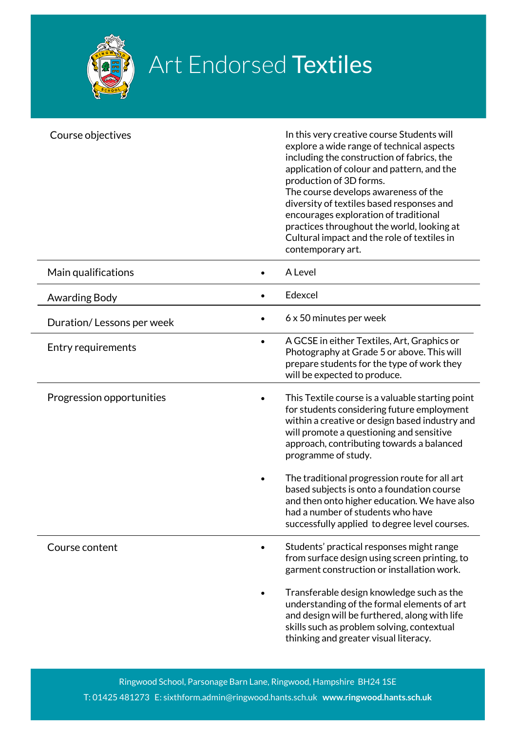

## Art Endorsed Textiles

| Course objectives         |           | In this very creative course Students will<br>explore a wide range of technical aspects<br>including the construction of fabrics, the<br>application of colour and pattern, and the<br>production of 3D forms.<br>The course develops awareness of the<br>diversity of textiles based responses and<br>encourages exploration of traditional<br>practices throughout the world, looking at<br>Cultural impact and the role of textiles in<br>contemporary art. |
|---------------------------|-----------|----------------------------------------------------------------------------------------------------------------------------------------------------------------------------------------------------------------------------------------------------------------------------------------------------------------------------------------------------------------------------------------------------------------------------------------------------------------|
| Main qualifications       |           | A Level                                                                                                                                                                                                                                                                                                                                                                                                                                                        |
| Awarding Body             | $\bullet$ | Edexcel                                                                                                                                                                                                                                                                                                                                                                                                                                                        |
| Duration/Lessons per week |           | 6 x 50 minutes per week                                                                                                                                                                                                                                                                                                                                                                                                                                        |
| Entry requirements        | $\bullet$ | A GCSE in either Textiles, Art, Graphics or<br>Photography at Grade 5 or above. This will<br>prepare students for the type of work they<br>will be expected to produce.                                                                                                                                                                                                                                                                                        |
| Progression opportunities |           | This Textile course is a valuable starting point<br>for students considering future employment<br>within a creative or design based industry and<br>will promote a questioning and sensitive<br>approach, contributing towards a balanced<br>programme of study.                                                                                                                                                                                               |
|                           |           | The traditional progression route for all art<br>based subjects is onto a foundation course<br>and then onto higher education. We have also<br>had a number of students who have<br>successfully applied to degree level courses.                                                                                                                                                                                                                              |
| Course content            |           | Students' practical responses might range<br>from surface design using screen printing, to<br>garment construction or installation work.                                                                                                                                                                                                                                                                                                                       |
|                           |           | Transferable design knowledge such as the<br>understanding of the formal elements of art<br>and design will be furthered, along with life<br>skills such as problem solving, contextual<br>thinking and greater visual literacy.                                                                                                                                                                                                                               |

Ringwood School, Parsonage Barn Lane, Ringwood, Hampshire BH24 1SE T: 01425 481273 E: sixthform.admin@ringwood.hants.sch.uk **www.ringwood.hants.sch.uk**